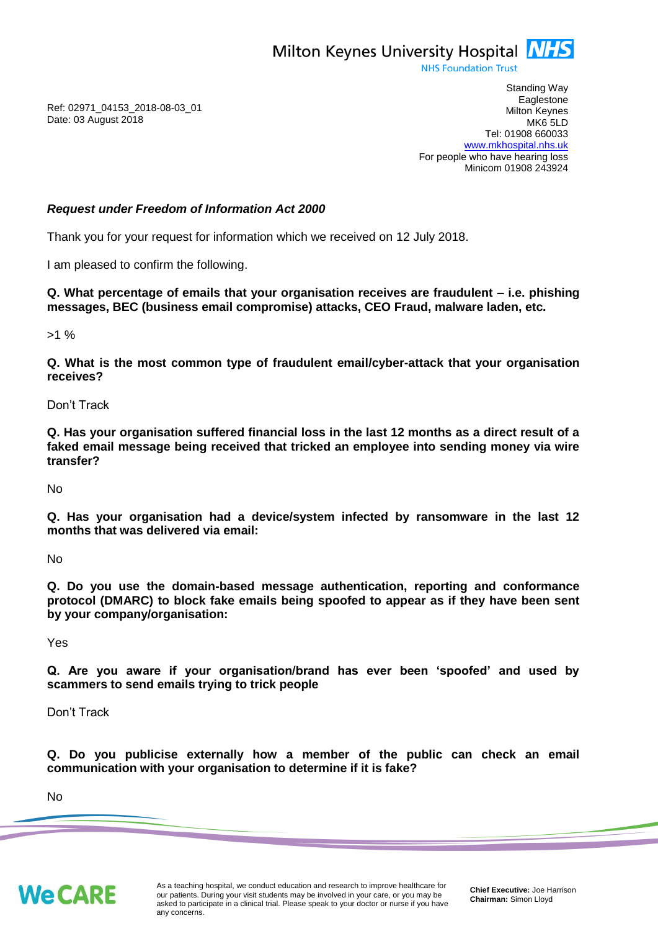

**NHS Foundation Trust** 

Ref: 02971\_04153\_2018-08-03\_01 Date: 03 August 2018

Standing Way **Eaglestone** Milton Keynes MK6 5LD Tel: 01908 660033 [www.mkhospital.nhs.uk](http://www.mkhospital.nhs.uk/) For people who have hearing loss Minicom 01908 243924

## *Request under Freedom of Information Act 2000*

Thank you for your request for information which we received on 12 July 2018.

I am pleased to confirm the following.

**Q. What percentage of emails that your organisation receives are fraudulent – i.e. phishing messages, BEC (business email compromise) attacks, CEO Fraud, malware laden, etc.**

 $>1\%$ 

**Q. What is the most common type of fraudulent email/cyber-attack that your organisation receives?**

Don't Track

**Q. Has your organisation suffered financial loss in the last 12 months as a direct result of a faked email message being received that tricked an employee into sending money via wire transfer?**

No

**Q. Has your organisation had a device/system infected by ransomware in the last 12 months that was delivered via email:**

No

**Q. Do you use the domain-based message authentication, reporting and conformance protocol (DMARC) to block fake emails being spoofed to appear as if they have been sent by your company/organisation:**

Yes

**Q. Are you aware if your organisation/brand has ever been 'spoofed' and used by scammers to send emails trying to trick people**

Don't Track

**Q. Do you publicise externally how a member of the public can check an email communication with your organisation to determine if it is fake?**

No